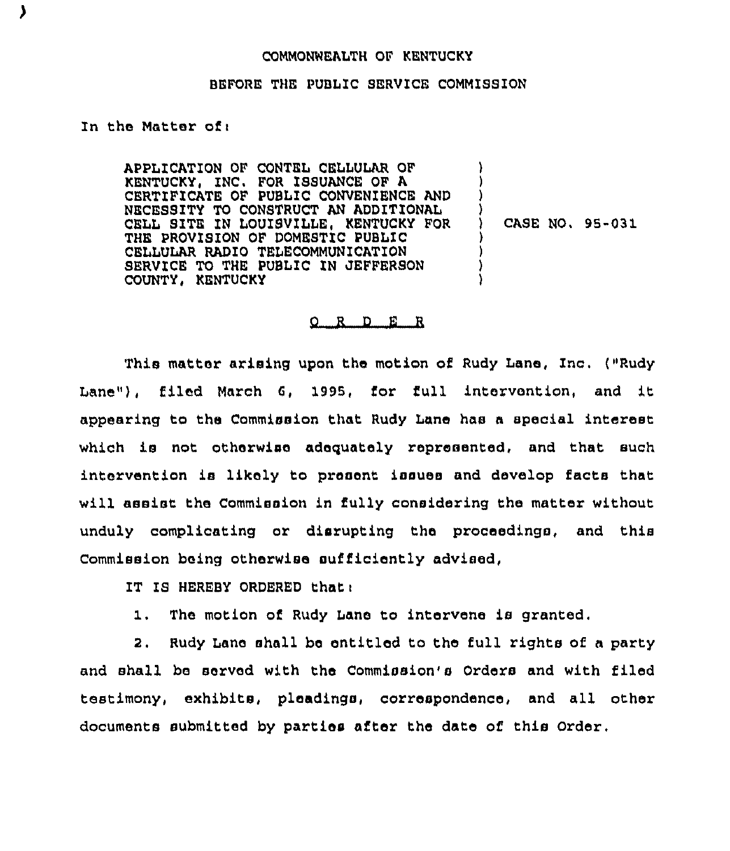## COMMQNNEALTH QF KENTUCKY

## BEFORE THE PUBLIC SERVICE COMMISSION

## In the Matter of $<sub>1</sub>$ </sub>

APPLICATION OF CONTEL CELLULAR QF KENTUCKY, INC. FOR ISSUANCE OF A CERTIFICATE OF PUBLIC CONVENIENCE AND NECESSITY TO CONSTRUCT AN ADDITIONAL CELL SITE IN LOUISVILLE, KENTUCKY FOR THE PROVISION OF DOMESTIC PUBLIC CELLULAR RADIO TELECOMMUNICATION SERVICE TO THE PUBLIC IN JEFFERSON COUNTY, KENTUCKY

) CASE NO, 95-031

) ) ) )

> ) ) )

## 0 R <sup>D</sup> E R

This matter arising upon the motion of Rudy Lane, Inc. ("Rudy Lane"), filed March 6, 1995, for full intervention, and it appearing to the Commission that Rudy Lane has a special interest which is not otherwise adequately represented, and that such intervention is likely to present issues and develop facts that will assist the Commission in fully considering the matter without unduly complicating or disrupting the proceedings, and this Commission being otherwise sufficiently advised,

IT IS HEREBY ORDERED that:

1. The motion of Rudy Lane to intervene is granted.

2. Rudy Lane shall be entitled to the full rights of a party and shall be served with the Commission's Orders and with filed testimony, exhibits, pleadings, correspondence, and all other documents submitted by parties after the date of this Order,